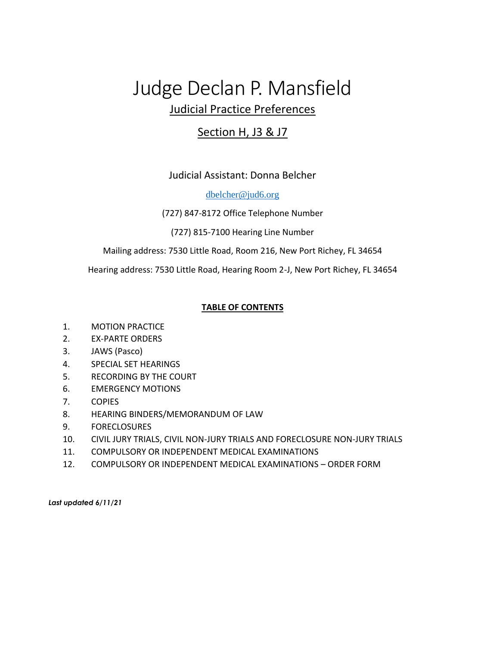# Judge Declan P. Mansfield Judicial Practice Preferences

## Section H, J3 & J7

Judicial Assistant: Donna Belcher

[dbelcher@jud6.org](mailto:dbelcher@jud6.org)

(727) 847-8172 Office Telephone Number

(727) 815-7100 Hearing Line Number

Mailing address: 7530 Little Road, Room 216, New Port Richey, FL 34654

Hearing address: 7530 Little Road, Hearing Room 2-J, New Port Richey, FL 34654

#### **TABLE OF CONTENTS**

- 1. MOTION PRACTICE
- 2. EX-PARTE ORDERS
- 3. JAWS (Pasco)
- 4. SPECIAL SET HEARINGS
- 5. RECORDING BY THE COURT
- 6. EMERGENCY MOTIONS
- 7. COPIES
- 8. HEARING BINDERS/MEMORANDUM OF LAW
- 9. FORECLOSURES
- 10. CIVIL JURY TRIALS, CIVIL NON-JURY TRIALS AND FORECLOSURE NON-JURY TRIALS
- 11. COMPULSORY OR INDEPENDENT MEDICAL EXAMINATIONS
- 12. COMPULSORY OR INDEPENDENT MEDICAL EXAMINATIONS ORDER FORM

*Last updated 6/11/21*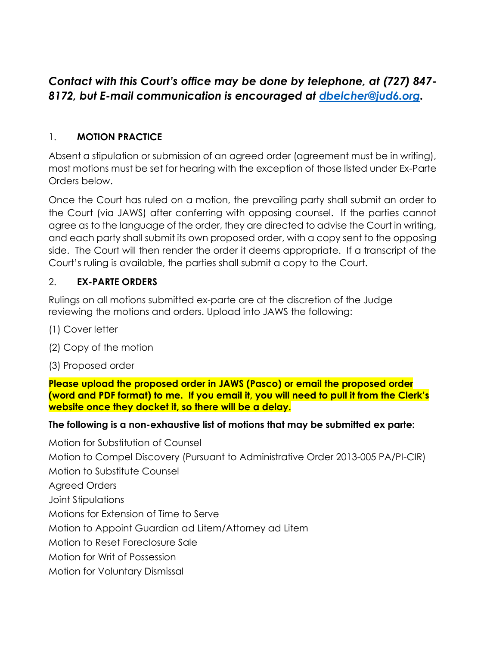# *Contact with this Court's office may be done by telephone, at (727) 847- 8172, but E-mail communication is encouraged at [dbelcher@jud6.org.](mailto:dbelcher@jud6.org)*

## 1. **MOTION PRACTICE**

Absent a stipulation or submission of an agreed order (agreement must be in writing), most motions must be set for hearing with the exception of those listed under Ex-Parte Orders below.

Once the Court has ruled on a motion, the prevailing party shall submit an order to the Court (via JAWS) after conferring with opposing counsel. If the parties cannot agree as to the language of the order, they are directed to advise the Court in writing, and each party shall submit its own proposed order, with a copy sent to the opposing side. The Court will then render the order it deems appropriate. If a transcript of the Court's ruling is available, the parties shall submit a copy to the Court.

## 2. **EX-PARTE ORDERS**

Rulings on all motions submitted ex-parte are at the discretion of the Judge reviewing the motions and orders. Upload into JAWS the following:

- (1) Cover letter
- (2) Copy of the motion
- (3) Proposed order

**Please upload the proposed order in JAWS (Pasco) or email the proposed order (word and PDF format) to me. If you email it, you will need to pull it from the Clerk's website once they docket it, so there will be a delay.**

#### **The following is a non-exhaustive list of motions that may be submitted ex parte:**

Motion for Substitution of Counsel Motion to Compel Discovery (Pursuant to Administrative Order 2013-005 PA/PI-CIR) Motion to Substitute Counsel Agreed Orders Joint Stipulations Motions for Extension of Time to Serve Motion to Appoint Guardian ad Litem/Attorney ad Litem Motion to Reset Foreclosure Sale Motion for Writ of Possession Motion for Voluntary Dismissal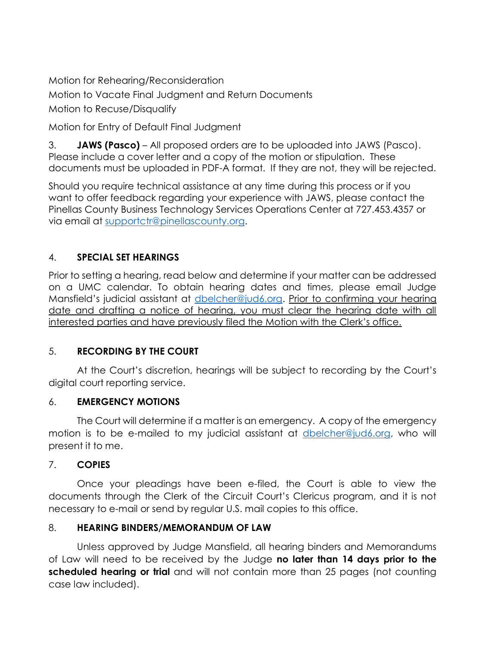Motion for Rehearing/Reconsideration

Motion to Vacate Final Judgment and Return Documents

Motion to Recuse/Disqualify

Motion for Entry of Default Final Judgment

3. **JAWS (Pasco)** – All proposed orders are to be uploaded into JAWS (Pasco). Please include a cover letter and a copy of the motion or stipulation. These documents must be uploaded in PDF-A format. If they are not, they will be rejected.

Should you require technical assistance at any time during this process or if you want to offer feedback regarding your experience with JAWS, please contact the Pinellas County Business Technology Services Operations Center at 727.453.4357 or via email at [supportctr@pinellascounty.org.](mailto:supportctr@pinellascounty.org)

## 4. **SPECIAL SET HEARINGS**

Prior to setting a hearing, read below and determine if your matter can be addressed on a UMC calendar. To obtain hearing dates and times, please email Judge Mansfield's judicial assistant at [dbelcher@jud6.org.](mailto:dbelcher@jud6.org) Prior to confirming your hearing date and drafting a notice of hearing, you must clear the hearing date with all interested parties and have previously filed the Motion with the Clerk's office.

#### 5. **RECORDING BY THE COURT**

At the Court's discretion, hearings will be subject to recording by the Court's digital court reporting service.

#### 6. **EMERGENCY MOTIONS**

The Court will determine if a matter is an emergency. A copy of the emergency motion is to be e-mailed to my judicial assistant at [dbelcher@jud6.org,](mailto:dbelcher@jud6.org) who will present it to me.

## 7. **COPIES**

Once your pleadings have been e-filed, the Court is able to view the documents through the Clerk of the Circuit Court's Clericus program, and it is not necessary to e-mail or send by regular U.S. mail copies to this office.

## 8. **HEARING BINDERS/MEMORANDUM OF LAW**

Unless approved by Judge Mansfield, all hearing binders and Memorandums of Law will need to be received by the Judge **no later than 14 days prior to the scheduled hearing or trial** and will not contain more than 25 pages (not counting case law included).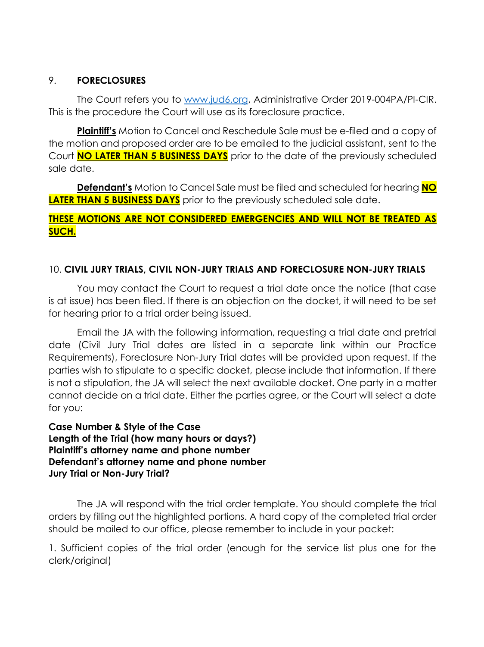#### 9. **FORECLOSURES**

The Court refers you to [www.jud6.org,](http://www.jud6.org/) Administrative Order 2019-004PA/PI-CIR. This is the procedure the Court will use as its foreclosure practice.

**Plaintiff's** Motion to Cancel and Reschedule Sale must be e-filed and a copy of the motion and proposed order are to be emailed to the judicial assistant, sent to the Court **NO LATER THAN 5 BUSINESS DAYS** prior to the date of the previously scheduled sale date.

**Defendant's** Motion to Cancel Sale must be filed and scheduled for hearing **NO LATER THAN 5 BUSINESS DAYS** prior to the previously scheduled sale date.

#### **THESE MOTIONS ARE NOT CONSIDERED EMERGENCIES AND WILL NOT BE TREATED AS SUCH.**

#### 10. **CIVIL JURY TRIALS, CIVIL NON-JURY TRIALS AND FORECLOSURE NON-JURY TRIALS**

You may contact the Court to request a trial date once the notice (that case is at issue) has been filed. If there is an objection on the docket, it will need to be set for hearing prior to a trial order being issued.

Email the JA with the following information, requesting a trial date and pretrial date (Civil Jury Trial dates are listed in a separate link within our Practice Requirements), Foreclosure Non-Jury Trial dates will be provided upon request. If the parties wish to stipulate to a specific docket, please include that information. If there is not a stipulation, the JA will select the next available docket. One party in a matter cannot decide on a trial date. Either the parties agree, or the Court will select a date for you:

**Case Number & Style of the Case Length of the Trial (how many hours or days?) Plaintiff's attorney name and phone number Defendant's attorney name and phone number Jury Trial or Non-Jury Trial?**

The JA will respond with the trial order template. You should complete the trial orders by filling out the highlighted portions. A hard copy of the completed trial order should be mailed to our office, please remember to include in your packet:

1. Sufficient copies of the trial order (enough for the service list plus one for the clerk/original)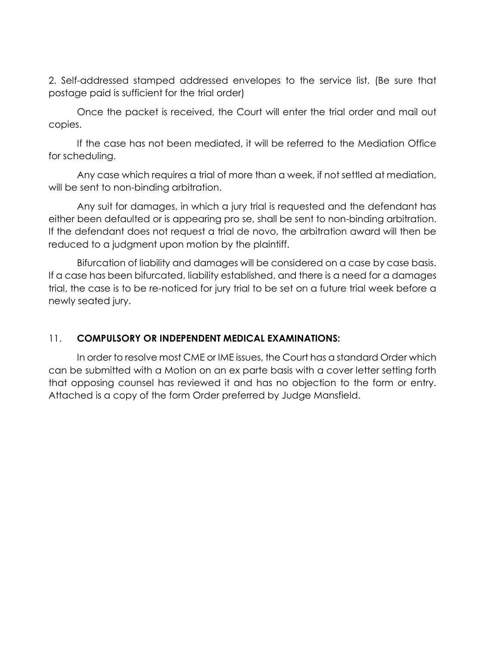2. Self-addressed stamped addressed envelopes to the service list. (Be sure that postage paid is sufficient for the trial order)

Once the packet is received, the Court will enter the trial order and mail out copies.

If the case has not been mediated, it will be referred to the Mediation Office for scheduling.

Any case which requires a trial of more than a week, if not settled at mediation, will be sent to non-binding arbitration.

Any suit for damages, in which a jury trial is requested and the defendant has either been defaulted or is appearing pro se, shall be sent to non-binding arbitration. If the defendant does not request a trial de novo, the arbitration award will then be reduced to a judgment upon motion by the plaintiff.

Bifurcation of liability and damages will be considered on a case by case basis. If a case has been bifurcated, liability established, and there is a need for a damages trial, the case is to be re-noticed for jury trial to be set on a future trial week before a newly seated jury.

#### 11. **COMPULSORY OR INDEPENDENT MEDICAL EXAMINATIONS:**

In order to resolve most CME or IME issues, the Court has a standard Order which can be submitted with a Motion on an ex parte basis with a cover letter setting forth that opposing counsel has reviewed it and has no objection to the form or entry. Attached is a copy of the form Order preferred by Judge Mansfield.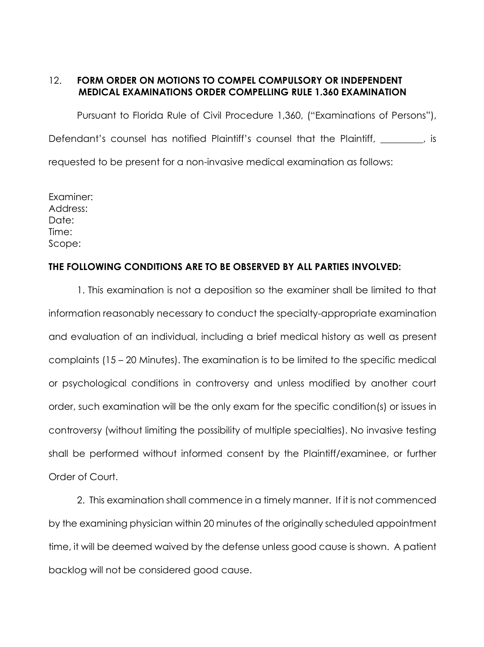#### 12. **FORM ORDER ON MOTIONS TO COMPEL COMPULSORY OR INDEPENDENT MEDICAL EXAMINATIONS ORDER COMPELLING RULE 1.360 EXAMINATION**

Pursuant to Florida Rule of Civil Procedure 1,360, ("Examinations of Persons"), Defendant's counsel has notified Plaintiff's counsel that the Plaintiff, the state of state of state of the Plaintiff, requested to be present for a non-invasive medical examination as follows:

Examiner: Address: Date: Time: Scope:

#### **THE FOLLOWING CONDITIONS ARE TO BE OBSERVED BY ALL PARTIES INVOLVED:**

1. This examination is not a deposition so the examiner shall be limited to that information reasonably necessary to conduct the specialty-appropriate examination and evaluation of an individual, including a brief medical history as well as present complaints (15 – 20 Minutes). The examination is to be limited to the specific medical or psychological conditions in controversy and unless modified by another court order, such examination will be the only exam for the specific condition(s) or issues in controversy (without limiting the possibility of multiple specialties). No invasive testing shall be performed without informed consent by the Plaintiff/examinee, or further Order of Court.

2. This examination shall commence in a timely manner. If it is not commenced by the examining physician within 20 minutes of the originally scheduled appointment time, it will be deemed waived by the defense unless good cause is shown. A patient backlog will not be considered good cause.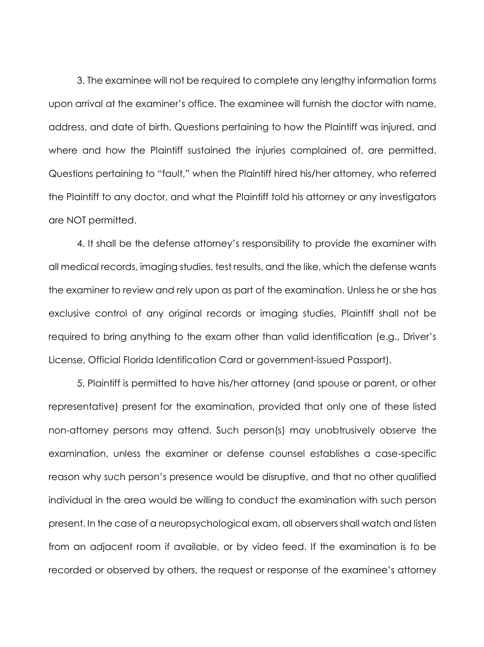3. The examinee will not be required to complete any lengthy information forms upon arrival at the examiner's office. The examinee will furnish the doctor with name, address, and date of birth. Questions pertaining to how the Plaintiff was injured, and where and how the Plaintiff sustained the injuries complained of, are permitted. Questions pertaining to "fault," when the Plaintiff hired his/her attorney, who referred the Plaintiff to any doctor, and what the Plaintiff told his attorney or any investigators are NOT permitted.

4. It shall be the defense attorney's responsibility to provide the examiner with all medical records, imaging studies, test results, and the like, which the defense wants the examiner to review and rely upon as part of the examination. Unless he or she has exclusive control of any original records or imaging studies, Plaintiff shall not be required to bring anything to the exam other than valid identification (e.g., Driver's License, Official Florida Identification Card or government-issued Passport).

5. Plaintiff is permitted to have his/her attorney (and spouse or parent, or other representative) present for the examination, provided that only one of these listed non-attorney persons may attend. Such person(s) may unobtrusively observe the examination, unless the examiner or defense counsel establishes a case-specific reason why such person's presence would be disruptive, and that no other qualified individual in the area would be willing to conduct the examination with such person present. In the case of a neuropsychological exam, all observers shall watch and listen from an adjacent room if available, or by video feed. If the examination is to be recorded or observed by others, the request or response of the examinee's attorney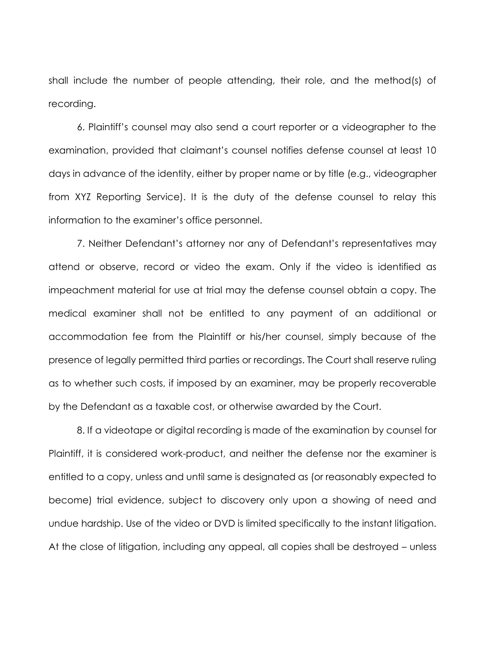shall include the number of people attending, their role, and the method(s) of recording.

6. Plaintiff's counsel may also send a court reporter or a videographer to the examination, provided that claimant's counsel notifies defense counsel at least 10 days in advance of the identity, either by proper name or by title (e.g., videographer from XYZ Reporting Service). It is the duty of the defense counsel to relay this information to the examiner's office personnel.

7. Neither Defendant's attorney nor any of Defendant's representatives may attend or observe, record or video the exam. Only if the video is identified as impeachment material for use at trial may the defense counsel obtain a copy. The medical examiner shall not be entitled to any payment of an additional or accommodation fee from the Plaintiff or his/her counsel, simply because of the presence of legally permitted third parties or recordings. The Court shall reserve ruling as to whether such costs, if imposed by an examiner, may be properly recoverable by the Defendant as a taxable cost, or otherwise awarded by the Court.

8. If a videotape or digital recording is made of the examination by counsel for Plaintiff, it is considered work-product, and neither the defense nor the examiner is entitled to a copy, unless and until same is designated as (or reasonably expected to become) trial evidence, subject to discovery only upon a showing of need and undue hardship. Use of the video or DVD is limited specifically to the instant litigation. At the close of litigation, including any appeal, all copies shall be destroyed – unless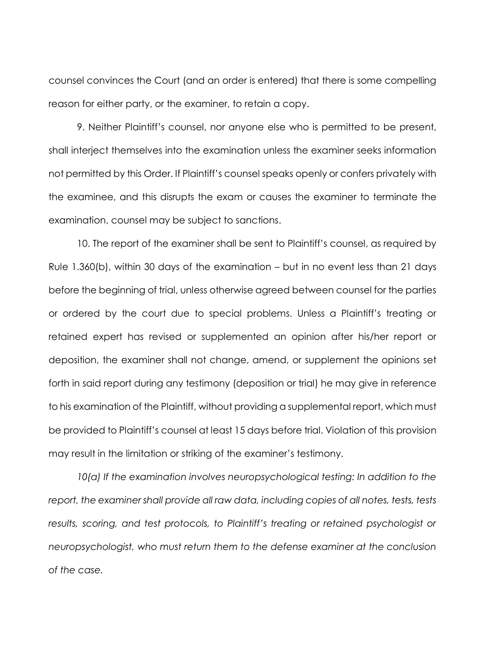counsel convinces the Court (and an order is entered) that there is some compelling reason for either party, or the examiner, to retain a copy.

9. Neither Plaintiff's counsel, nor anyone else who is permitted to be present, shall interject themselves into the examination unless the examiner seeks information not permitted by this Order. If Plaintiff's counsel speaks openly or confers privately with the examinee, and this disrupts the exam or causes the examiner to terminate the examination, counsel may be subject to sanctions.

10. The report of the examiner shall be sent to Plaintiff's counsel, as required by Rule 1.360(b), within 30 days of the examination – but in no event less than 21 days before the beginning of trial, unless otherwise agreed between counsel for the parties or ordered by the court due to special problems. Unless a Plaintiff's treating or retained expert has revised or supplemented an opinion after his/her report or deposition, the examiner shall not change, amend, or supplement the opinions set forth in said report during any testimony (deposition or trial) he may give in reference to his examination of the Plaintiff, without providing a supplemental report, which must be provided to Plaintiff's counsel at least 15 days before trial. Violation of this provision may result in the limitation or striking of the examiner's testimony.

*10(a) If the examination involves neuropsychological testing: In addition to the*  report, the examiner shall provide all raw data, including copies of all notes, tests, tests *results, scoring, and test protocols, to Plaintiff's treating or retained psychologist or neuropsychologist, who must return them to the defense examiner at the conclusion of the case.*